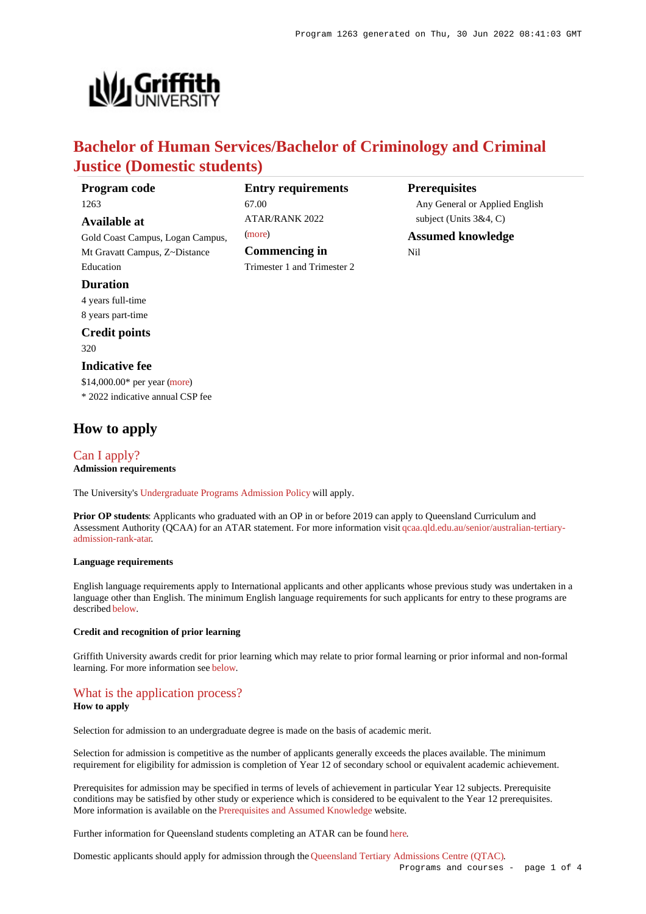

# **Bachelor of Human Services/Bachelor of Criminology and Criminal Justice (Domestic students)**

| Program code                     | <b>Entry requirements</b>   | <b>Prerequisites</b>           |
|----------------------------------|-----------------------------|--------------------------------|
| 1263                             | 67.00                       | Any General or Applied English |
| Available at                     | <b>ATAR/RANK 2022</b>       | subject (Units $3&4, C$ )      |
| Gold Coast Campus, Logan Campus, | (more)                      | <b>Assumed knowledge</b>       |
| Mt Gravatt Campus, Z~Distance    | Commencing in               | Nil                            |
| Education                        | Trimester 1 and Trimester 2 |                                |
| <b>Duration</b>                  |                             |                                |
| 4 years full-time                |                             |                                |
| 8 years part-time                |                             |                                |
| <b>Credit points</b>             |                             |                                |
|                                  |                             |                                |

320

# **Indicative fee**

\$14,000.00\* per year [\(more](https://www148.griffith.edu.au/programs-courses/Program/1263/Overview/Domestic#fees)) \* 2022 indicative annual CSP fee

# **How to apply**

[Can I apply?](https://www148.griffith.edu.au/programs-courses/Program/1263/HowToApply/Domestic#can-i-apply) **Admission requirements**

The University's [Undergraduate Programs Admission Policy](https://sharepointpubstor.blob.core.windows.net/policylibrary-prod/Undergraduate Programs Admission Policy.pdf) will apply.

**Prior OP students**: Applicants who graduated with an OP in or before 2019 can apply to Queensland Curriculum and Assessment Authority (QCAA) for an ATAR statement. For more information visit [qcaa.qld.edu.au/senior/australian-tertiary](http://qcaa.qld.edu.au/senior/australian-tertiary-admission-rank-atar)[admission-rank-atar](http://qcaa.qld.edu.au/senior/australian-tertiary-admission-rank-atar).

### **Language requirements**

English language requirements apply to International applicants and other applicants whose previous study was undertaken in a language other than English. The minimum English language requirements for such applicants for entry to these programs are described [below](https://www148.griffith.edu.au/programs-courses/Program/1263/HowToApply/Domestic#language).

#### **Credit and recognition of prior learning**

Griffith University awards credit for prior learning which may relate to prior formal learning or prior informal and non-formal learning. For more information see [below](https://www148.griffith.edu.au/programs-courses/Program/1263/HowToApply/Domestic#credit).

# [What is the application process?](https://www148.griffith.edu.au/programs-courses/Program/1263/HowToApply/Domestic#process)

# **How to apply**

Selection for admission to an undergraduate degree is made on the basis of academic merit.

Selection for admission is competitive as the number of applicants generally exceeds the places available. The minimum requirement for eligibility for admission is completion of Year 12 of secondary school or equivalent academic achievement.

Prerequisites for admission may be specified in terms of levels of achievement in particular Year 12 subjects. Prerequisite conditions may be satisfied by other study or experience which is considered to be equivalent to the Year 12 prerequisites. More information is available on the [Prerequisites and Assumed Knowledge](https://www.griffith.edu.au/apply/prerequisites-assumed-knowledge) website.

Further information for Queensland students completing an ATAR can be found [here](https://www.griffith.edu.au/apply/undergraduate-study/high-school-students/admission-in-2021).

Domestic applicants should apply for admission through the [Queensland Tertiary Admissions Centre \(QTAC\)](http://www.qtac.edu.au/).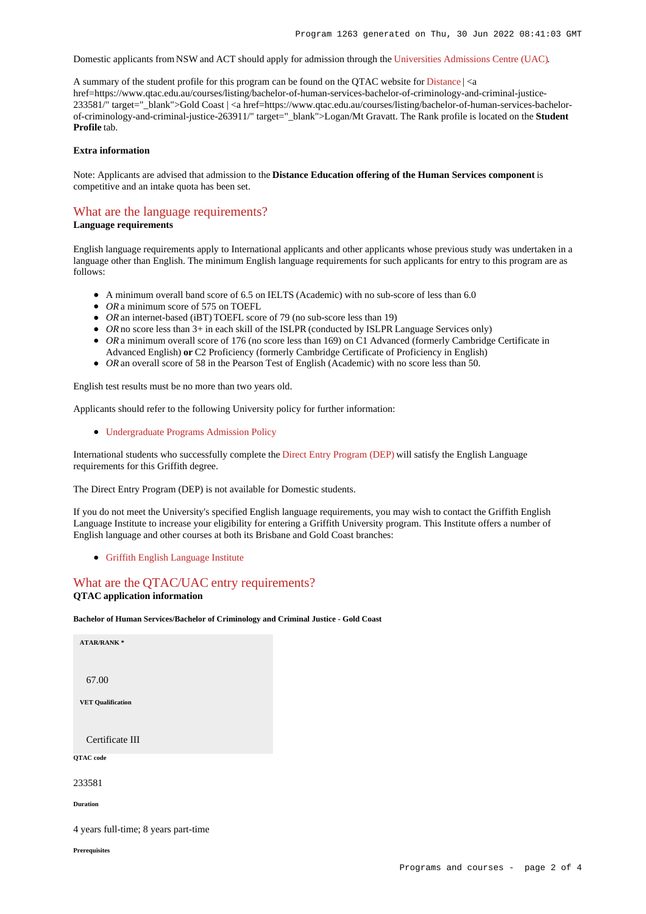Domestic applicants from NSW and ACT should apply for admission through the [Universities Admissions Centre \(UAC\)](http://www.uac.edu.au/).

A summary of the student profile for this program can be found on the OTAC website for [Distance](https://www.qtac.edu.au/courses/listing/bachelor-of-human-services-bachelor-of-criminology-and-criminal-justice-276015/)  $| \le a$ href=https://www.qtac.edu.au/courses/listing/bachelor-of-human-services-bachelor-of-criminology-and-criminal-justice-233581/" target="\_blank">Gold Coast | <a href=https://www.qtac.edu.au/courses/listing/bachelor-of-human-services-bachelorof-criminology-and-criminal-justice-263911/" target="\_blank">Logan/Mt Gravatt. The Rank profile is located on the **Student Profile** tab.

### **Extra information**

Note: Applicants are advised that admission to the **Distance Education offering of the Human Services component** is competitive and an intake quota has been set.

# [What are the language requirements?](https://www148.griffith.edu.au/programs-courses/Program/1263/HowToApply/Domestic#language)

**Language requirements**

English language requirements apply to International applicants and other applicants whose previous study was undertaken in a language other than English. The minimum English language requirements for such applicants for entry to this program are as follows:

- A minimum overall band score of 6.5 on IELTS (Academic) with no sub-score of less than 6.0
- OR a minimum score of 575 on TOEFL
- *OR* an internet-based (iBT) TOEFL score of 79 (no sub-score less than 19)
- OR no score less than 3+ in each skill of the ISLPR (conducted by ISLPR Language Services only)
- OR a minimum overall score of 176 (no score less than 169) on C1 Advanced (formerly Cambridge Certificate in Advanced English) **or** C2 Proficiency (formerly Cambridge Certificate of Proficiency in English)
- OR an overall score of 58 in the Pearson Test of English (Academic) with no score less than 50.

English test results must be no more than two years old.

Applicants should refer to the following University policy for further information:

[Undergraduate Programs Admission Policy](http://policies.griffith.edu.au/pdf/Undergraduate Programs Admission Policy.pdf)

International students who successfully complete the [Direct Entry Program \(DEP\)](https://www.griffith.edu.au/international/griffith-english-language-institute/courses/direct-entry-program) will satisfy the English Language requirements for this Griffith degree.

The Direct Entry Program (DEP) is not available for Domestic students.

If you do not meet the University's specified English language requirements, you may wish to contact the Griffith English Language Institute to increase your eligibility for entering a Griffith University program. This Institute offers a number of English language and other courses at both its Brisbane and Gold Coast branches:

[Griffith English Language Institute](https://www.griffith.edu.au/international/griffith-english-language-institute)

# [What are the QTAC/UAC entry requirements?](https://www148.griffith.edu.au/programs-courses/Program/1263/HowToApply/Domestic#tac-entry-requirements)

# **QTAC application information**

**Bachelor of Human Services/Bachelor of Criminology and Criminal Justice - Gold Coast**

**ATAR/RANK \*** 67.00 **VET Qualification**

Certificate III

**QTAC code**

233581

**Duration**

4 years full-time; 8 years part-time

**Prerequisites**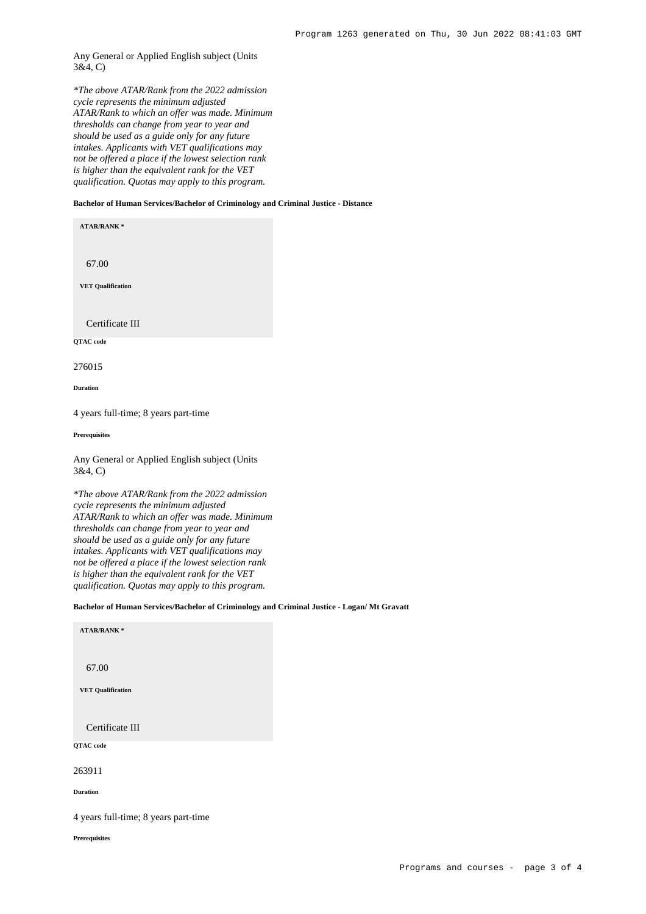# Any General or Applied English subject (Units 3&4, C)

*\*The above ATAR/Rank from the 2022 admission cycle represents the minimum adjusted ATAR/Rank to which an offer was made. Minimum thresholds can change from year to year and should be used as a guide only for any future intakes. Applicants with VET qualifications may not be offered a place if the lowest selection rank is higher than the equivalent rank for the VET qualification. Quotas may apply to this program.*

#### **Bachelor of Human Services/Bachelor of Criminology and Criminal Justice - Distance**

**ATAR/RANK \***

67.00

**VET Qualification**

Certificate III

**QTAC code**

276015

**Duration**

4 years full-time; 8 years part-time

**Prerequisites**

Any General or Applied English subject (Units 3&4, C)

*\*The above ATAR/Rank from the 2022 admission cycle represents the minimum adjusted ATAR/Rank to which an offer was made. Minimum thresholds can change from year to year and should be used as a guide only for any future intakes. Applicants with VET qualifications may not be offered a place if the lowest selection rank is higher than the equivalent rank for the VET qualification. Quotas may apply to this program.*

#### **Bachelor of Human Services/Bachelor of Criminology and Criminal Justice - Logan/ Mt Gravatt**

| <b>ATAR/RANK*</b>                    |  |
|--------------------------------------|--|
| 67.00                                |  |
| <b>VET Qualification</b>             |  |
| Certificate III                      |  |
| QTAC code                            |  |
| 263911                               |  |
| <b>Duration</b>                      |  |
| 4 years full-time; 8 years part-time |  |

**Prerequisites**